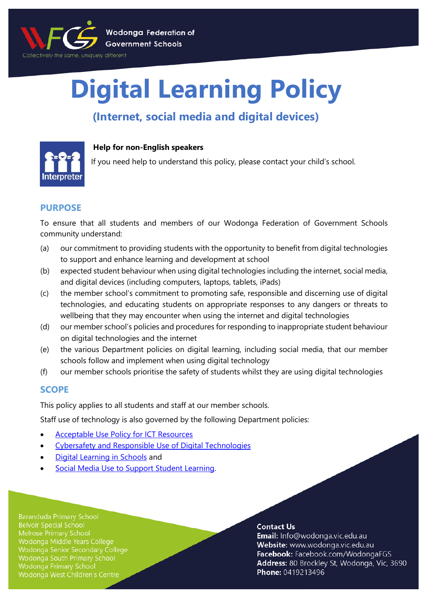

# **Digital Learning Policy**

# **(Internet, social media and digital devices)**



# **Help for non-English speakers**

If you need help to understand this policy, please contact your child's school.

# **PURPOSE**

To ensure that all students and members of our Wodonga Federation of Government Schools community understand:

- (a) our commitment to providing students with the opportunity to benefit from digital technologies to support and enhance learning and development at school
- (b) expected student behaviour when using digital technologies including the internet, social media, and digital devices (including computers, laptops, tablets, iPads)
- (c) the member school's commitment to promoting safe, responsible and discerning use of digital technologies, and educating students on appropriate responses to any dangers or threats to wellbeing that they may encounter when using the internet and digital technologies
- (d) our member school's policies and procedures for responding to inappropriate student behaviour on digital technologies and the internet
- (e) the various Department policies on digital learning, including social media, that our member schools follow and implement when using digital technology
- (f) our member schools prioritise the safety of students whilst they are using digital technologies

# **SCOPE**

This policy applies to all students and staff at our member schools.

Staff use of technology is also governed by the following Department policies:

- [Acceptable Use Policy](https://www2.education.vic.gov.au/pal/ict-acceptable-use/overview) for ICT Resources
- [Cybersafety and Responsible Use of Digital Technologies](https://www2.education.vic.gov.au/pal/cybersafety/policy)
- [Digital Learning in Schools](https://www2.education.vic.gov.au/pal/digital-learning/policy) and
- [Social Media Use to Support Student Learning.](https://www2.education.vic.gov.au/pal/social-media/policy)

**Baranduda Primary School Belvoir Special School** Wodonga Middle Years College Wodonga Senior Secondary College Wodonga South Primary School **Wodonga Primary School** Wodonga West Children's Centre

#### **Contact Us**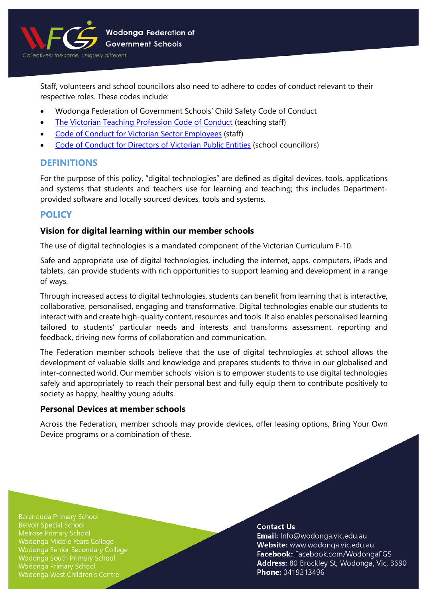

Staff, volunteers and school councillors also need to adhere to codes of conduct relevant to their respective roles. These codes include:

- Wodonga Federation of Government Schools' Child Safety Code of Conduct
- [The Victorian Teaching Profession Code of Conduct](https://www.vit.vic.edu.au/__data/assets/pdf_file/0018/35604/Code-of-Conduct-2016.pdf) (teaching staff)
- [Code of Conduct for Victorian Sector Employees](https://www2.education.vic.gov.au/pal/code-conduct/overview) (staff)
- [Code of Conduct for Directors of Victorian Public Entities](https://www2.education.vic.gov.au/pal/school-council-conduct/policy) (school councillors)

# **DEFINITIONS**

For the purpose of this policy, "digital technologies" are defined as digital devices, tools, applications and systems that students and teachers use for learning and teaching; this includes Departmentprovided software and locally sourced devices, tools and systems.

# **POLICY**

## **Vision for digital learning within our member schools**

The use of digital technologies is a mandated component of the Victorian Curriculum F-10.

Safe and appropriate use of digital technologies, including the internet, apps, computers, iPads and tablets, can provide students with rich opportunities to support learning and development in a range of ways.

Through increased access to digital technologies, students can benefit from learning that is interactive, collaborative, personalised, engaging and transformative. Digital technologies enable our students to interact with and create high-quality content, resources and tools. It also enables personalised learning tailored to students' particular needs and interests and transforms assessment, reporting and feedback, driving new forms of collaboration and communication.

The Federation member schools believe that the use of digital technologies at school allows the development of valuable skills and knowledge and prepares students to thrive in our globalised and inter-connected world. Our member schools' vision is to empower students to use digital technologies safely and appropriately to reach their personal best and fully equip them to contribute positively to society as happy, healthy young adults.

#### **Personal Devices at member schools**

Across the Federation, member schools may provide devices, offer leasing options, Bring Your Own Device programs or a combination of these.

**Baranduda Primary School Belvoir Special School** Wodonga Middle Years College Wodonga Senior Secondary College Wodonga South Primary School **Wodonga Primary School** Wodonga West Children's Centre

#### **Contact Us**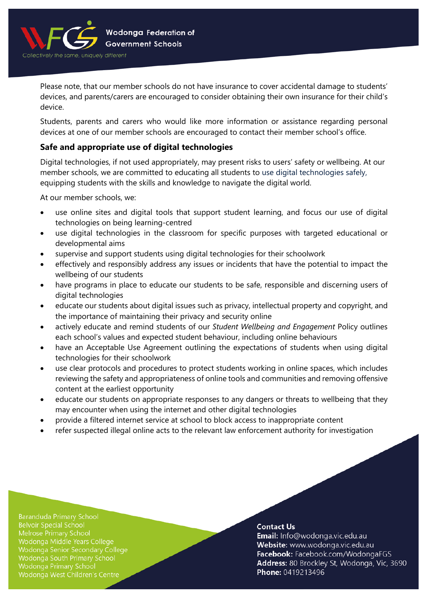

Please note, that our member schools do not have insurance to cover accidental damage to students' devices, and parents/carers are encouraged to consider obtaining their own insurance for their child's device.

Students, parents and carers who would like more information or assistance regarding personal devices at one of our member schools are encouraged to contact their member school's office.

# **Safe and appropriate use of digital technologies**

Digital technologies, if not used appropriately, may present risks to users' safety or wellbeing. At our member schools, we are committed to educating all students to use digital technologies safely, equipping students with the skills and knowledge to navigate the digital world.

At our member schools, we:

- use online sites and digital tools that support student learning, and focus our use of digital technologies on being learning-centred
- use digital technologies in the classroom for specific purposes with targeted educational or developmental aims
- supervise and support students using digital technologies for their schoolwork
- effectively and responsibly address any issues or incidents that have the potential to impact the wellbeing of our students
- have programs in place to educate our students to be safe, responsible and discerning users of digital technologies
- educate our students about digital issues such as privacy, intellectual property and copyright, and the importance of maintaining their privacy and security online
- actively educate and remind students of our *Student Wellbeing and Engagement* Policy outlines each school's values and expected student behaviour, including online behaviours
- have an Acceptable Use Agreement outlining the expectations of students when using digital technologies for their schoolwork
- use clear protocols and procedures to protect students working in online spaces, which includes reviewing the safety and appropriateness of online tools and communities and removing offensive content at the earliest opportunity
- educate our students on appropriate responses to any dangers or threats to wellbeing that they may encounter when using the internet and other digital technologies
- provide a filtered internet service at school to block access to inappropriate content
- refer suspected illegal online acts to the relevant law enforcement authority for investigation

**Baranduda Primary School Belvoir Special School** Wodonga Middle Years College Wodonga Senior Secondary College Wodonga South Primary School Wodonga Primary School Wodonga West Children's Centre

#### **Contact Us**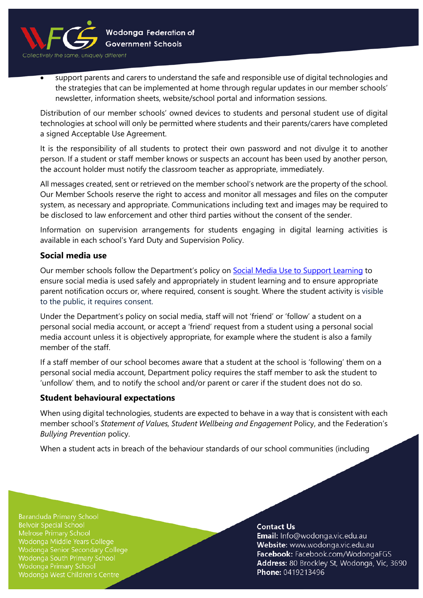

• support parents and carers to understand the safe and responsible use of digital technologies and the strategies that can be implemented at home through regular updates in our member schools' newsletter, information sheets, website/school portal and information sessions.

Distribution of our member schools' owned devices to students and personal student use of digital technologies at school will only be permitted where students and their parents/carers have completed a signed Acceptable Use Agreement.

It is the responsibility of all students to protect their own password and not divulge it to another person. If a student or staff member knows or suspects an account has been used by another person, the account holder must notify the classroom teacher as appropriate, immediately.

All messages created, sent or retrieved on the member school's network are the property of the school. Our Member Schools reserve the right to access and monitor all messages and files on the computer system, as necessary and appropriate. Communications including text and images may be required to be disclosed to law enforcement and other third parties without the consent of the sender.

Information on supervision arrangements for students engaging in digital learning activities is available in each school's Yard Duty and Supervision Policy.

# **Social media use**

Our member schools follow the Department's policy on [Social Media Use to Support Learning](https://www2.education.vic.gov.au/pal/social-media/policy) to ensure social media is used safely and appropriately in student learning and to ensure appropriate parent notification occurs or, where required, consent is sought. Where the student activity is visible to the public, it requires consent.

Under the Department's policy on social media, staff will not 'friend' or 'follow' a student on a personal social media account, or accept a 'friend' request from a student using a personal social media account unless it is objectively appropriate, for example where the student is also a family member of the staff.

If a staff member of our school becomes aware that a student at the school is 'following' them on a personal social media account, Department policy requires the staff member to ask the student to 'unfollow' them, and to notify the school and/or parent or carer if the student does not do so.

#### **Student behavioural expectations**

When using digital technologies, students are expected to behave in a way that is consistent with each member school's *Statement of Values, Student Wellbeing and Engagement* Policy, and the Federation's *Bullying Prevention* policy.

When a student acts in breach of the behaviour standards of our school communities (including

**Baranduda Primary School Belvoir Special School** Wodonga Middle Years College Wodonga Senior Secondary College Wodonga South Primary School **Wodonga Primary School** Wodonga West Children's Centre

#### **Contact Us**